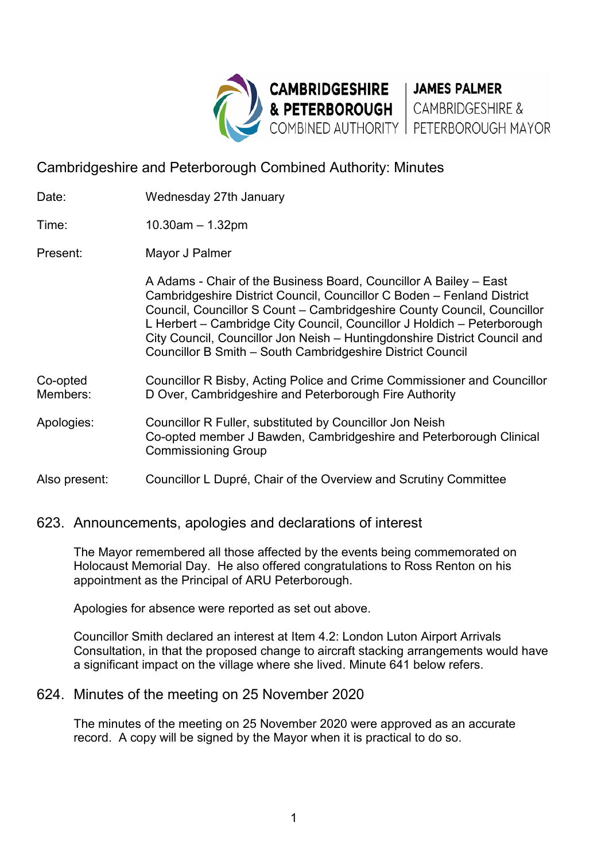

# Cambridgeshire and Peterborough Combined Authority: Minutes

| Date:                | Wednesday 27th January                                                                                                                                                                                                                                                                                                                                                                                                                       |
|----------------------|----------------------------------------------------------------------------------------------------------------------------------------------------------------------------------------------------------------------------------------------------------------------------------------------------------------------------------------------------------------------------------------------------------------------------------------------|
| Time:                | $10.30$ am $-1.32$ pm                                                                                                                                                                                                                                                                                                                                                                                                                        |
| Present:             | Mayor J Palmer                                                                                                                                                                                                                                                                                                                                                                                                                               |
|                      | A Adams - Chair of the Business Board, Councillor A Bailey – East<br>Cambridgeshire District Council, Councillor C Boden - Fenland District<br>Council, Councillor S Count - Cambridgeshire County Council, Councillor<br>L Herbert - Cambridge City Council, Councillor J Holdich - Peterborough<br>City Council, Councillor Jon Neish – Huntingdonshire District Council and<br>Councillor B Smith - South Cambridgeshire District Council |
| Co-opted<br>Members: | Councillor R Bisby, Acting Police and Crime Commissioner and Councillor<br>D Over, Cambridgeshire and Peterborough Fire Authority                                                                                                                                                                                                                                                                                                            |
| Apologies:           | Councillor R Fuller, substituted by Councillor Jon Neish<br>Co-opted member J Bawden, Cambridgeshire and Peterborough Clinical<br><b>Commissioning Group</b>                                                                                                                                                                                                                                                                                 |
| Also present:        | Councillor L Dupré, Chair of the Overview and Scrutiny Committee                                                                                                                                                                                                                                                                                                                                                                             |

#### 623. Announcements, apologies and declarations of interest

The Mayor remembered all those affected by the events being commemorated on Holocaust Memorial Day. He also offered congratulations to Ross Renton on his appointment as the Principal of ARU Peterborough.

Apologies for absence were reported as set out above.

Councillor Smith declared an interest at Item 4.2: London Luton Airport Arrivals Consultation, in that the proposed change to aircraft stacking arrangements would have a significant impact on the village where she lived. Minute 641 below refers.

## 624. Minutes of the meeting on 25 November 2020

The minutes of the meeting on 25 November 2020 were approved as an accurate record. A copy will be signed by the Mayor when it is practical to do so.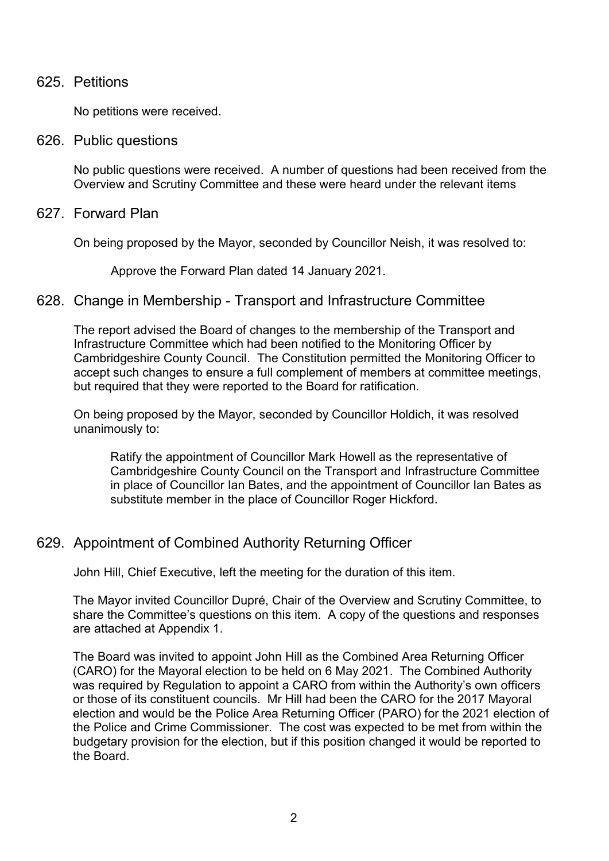#### 625. Petitions

No petitions were received.

626. Public questions

No public questions were received. A number of questions had been received from the Overview and Scrutiny Committee and these were heard under the relevant items

#### 627. Forward Plan

On being proposed by the Mayor, seconded by Councillor Neish, it was resolved to:

Approve the Forward Plan dated 14 January 2021.

### 628. Change in Membership - Transport and Infrastructure Committee

The report advised the Board of changes to the membership of the Transport and Infrastructure Committee which had been notified to the Monitoring Officer by Cambridgeshire County Council. The Constitution permitted the Monitoring Officer to accept such changes to ensure a full complement of members at committee meetings, but required that they were reported to the Board for ratification.

On being proposed by the Mayor, seconded by Councillor Holdich, it was resolved unanimously to:

Ratify the appointment of Councillor Mark Howell as the representative of Cambridgeshire County Council on the Transport and Infrastructure Committee in place of Councillor Ian Bates, and the appointment of Councillor Ian Bates as substitute member in the place of Councillor Roger Hickford.

## 629. Appointment of Combined Authority Returning Officer

John Hill, Chief Executive, left the meeting for the duration of this item.

The Mayor invited Councillor Dupré, Chair of the Overview and Scrutiny Committee, to share the Committee's questions on this item. A copy of the questions and responses are attached at Appendix 1.

The Board was invited to appoint John Hill as the Combined Area Returning Officer (CARO) for the Mayoral election to be held on 6 May 2021. The Combined Authority was required by Regulation to appoint a CARO from within the Authority's own officers or those of its constituent councils. Mr Hill had been the CARO for the 2017 Mayoral election and would be the Police Area Returning Officer (PARO) for the 2021 election of the Police and Crime Commissioner. The cost was expected to be met from within the budgetary provision for the election, but if this position changed it would be reported to the Board.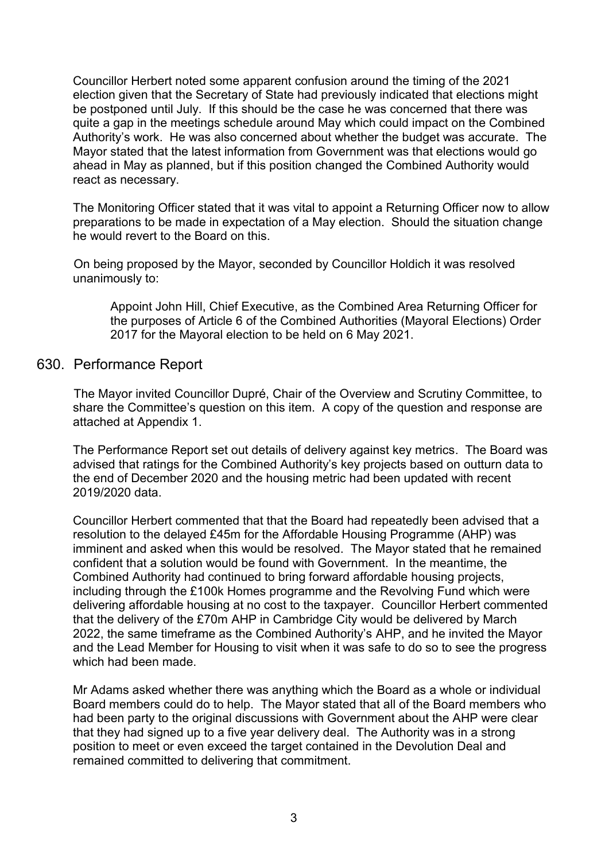Councillor Herbert noted some apparent confusion around the timing of the 2021 election given that the Secretary of State had previously indicated that elections might be postponed until July. If this should be the case he was concerned that there was quite a gap in the meetings schedule around May which could impact on the Combined Authority's work. He was also concerned about whether the budget was accurate. The Mayor stated that the latest information from Government was that elections would go ahead in May as planned, but if this position changed the Combined Authority would react as necessary.

The Monitoring Officer stated that it was vital to appoint a Returning Officer now to allow preparations to be made in expectation of a May election. Should the situation change he would revert to the Board on this.

On being proposed by the Mayor, seconded by Councillor Holdich it was resolved unanimously to:

Appoint John Hill, Chief Executive, as the Combined Area Returning Officer for the purposes of Article 6 of the Combined Authorities (Mayoral Elections) Order 2017 for the Mayoral election to be held on 6 May 2021.

#### 630. Performance Report

The Mayor invited Councillor Dupré, Chair of the Overview and Scrutiny Committee, to share the Committee's question on this item. A copy of the question and response are attached at Appendix 1.

The Performance Report set out details of delivery against key metrics. The Board was advised that ratings for the Combined Authority's key projects based on outturn data to the end of December 2020 and the housing metric had been updated with recent 2019/2020 data.

Councillor Herbert commented that that the Board had repeatedly been advised that a resolution to the delayed £45m for the Affordable Housing Programme (AHP) was imminent and asked when this would be resolved. The Mayor stated that he remained confident that a solution would be found with Government. In the meantime, the Combined Authority had continued to bring forward affordable housing projects, including through the £100k Homes programme and the Revolving Fund which were delivering affordable housing at no cost to the taxpayer. Councillor Herbert commented that the delivery of the £70m AHP in Cambridge City would be delivered by March 2022, the same timeframe as the Combined Authority's AHP, and he invited the Mayor and the Lead Member for Housing to visit when it was safe to do so to see the progress which had been made.

Mr Adams asked whether there was anything which the Board as a whole or individual Board members could do to help. The Mayor stated that all of the Board members who had been party to the original discussions with Government about the AHP were clear that they had signed up to a five year delivery deal. The Authority was in a strong position to meet or even exceed the target contained in the Devolution Deal and remained committed to delivering that commitment.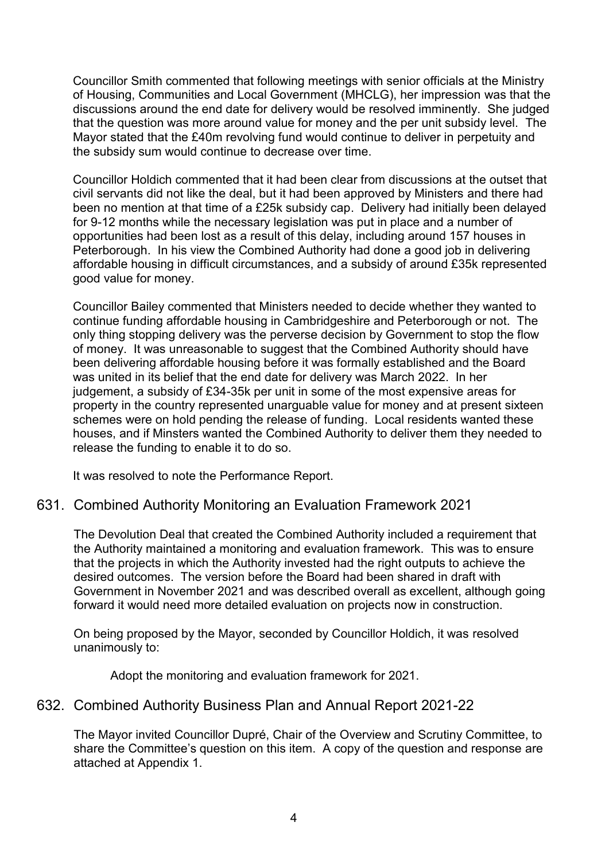Councillor Smith commented that following meetings with senior officials at the Ministry of Housing, Communities and Local Government (MHCLG), her impression was that the discussions around the end date for delivery would be resolved imminently. She judged that the question was more around value for money and the per unit subsidy level. The Mayor stated that the £40m revolving fund would continue to deliver in perpetuity and the subsidy sum would continue to decrease over time.

Councillor Holdich commented that it had been clear from discussions at the outset that civil servants did not like the deal, but it had been approved by Ministers and there had been no mention at that time of a £25k subsidy cap. Delivery had initially been delayed for 9-12 months while the necessary legislation was put in place and a number of opportunities had been lost as a result of this delay, including around 157 houses in Peterborough. In his view the Combined Authority had done a good job in delivering affordable housing in difficult circumstances, and a subsidy of around £35k represented good value for money.

Councillor Bailey commented that Ministers needed to decide whether they wanted to continue funding affordable housing in Cambridgeshire and Peterborough or not. The only thing stopping delivery was the perverse decision by Government to stop the flow of money. It was unreasonable to suggest that the Combined Authority should have been delivering affordable housing before it was formally established and the Board was united in its belief that the end date for delivery was March 2022. In her judgement, a subsidy of £34-35k per unit in some of the most expensive areas for property in the country represented unarguable value for money and at present sixteen schemes were on hold pending the release of funding. Local residents wanted these houses, and if Minsters wanted the Combined Authority to deliver them they needed to release the funding to enable it to do so.

It was resolved to note the Performance Report.

## 631. Combined Authority Monitoring an Evaluation Framework 2021

The Devolution Deal that created the Combined Authority included a requirement that the Authority maintained a monitoring and evaluation framework. This was to ensure that the projects in which the Authority invested had the right outputs to achieve the desired outcomes. The version before the Board had been shared in draft with Government in November 2021 and was described overall as excellent, although going forward it would need more detailed evaluation on projects now in construction.

On being proposed by the Mayor, seconded by Councillor Holdich, it was resolved unanimously to:

Adopt the monitoring and evaluation framework for 2021.

#### 632. Combined Authority Business Plan and Annual Report 2021-22

The Mayor invited Councillor Dupré, Chair of the Overview and Scrutiny Committee, to share the Committee's question on this item. A copy of the question and response are attached at Appendix 1.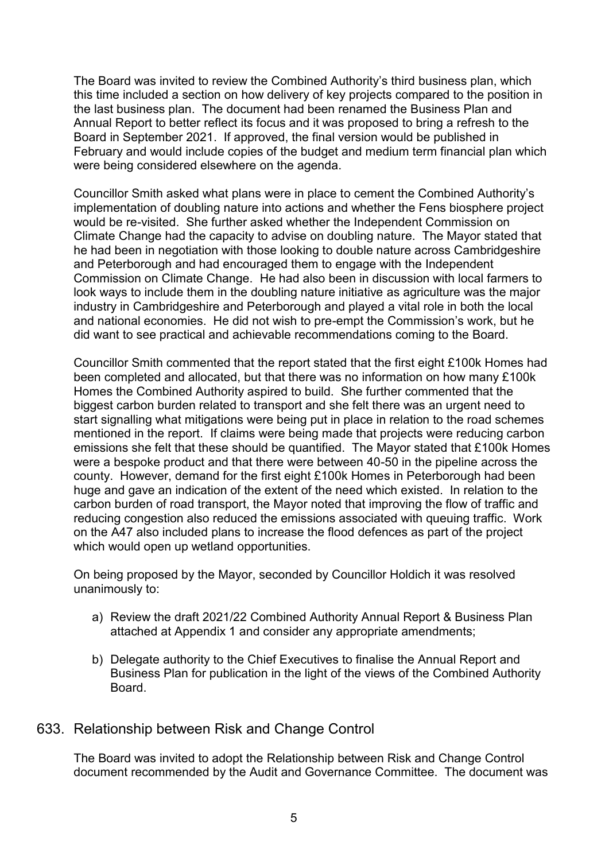The Board was invited to review the Combined Authority's third business plan, which this time included a section on how delivery of key projects compared to the position in the last business plan. The document had been renamed the Business Plan and Annual Report to better reflect its focus and it was proposed to bring a refresh to the Board in September 2021. If approved, the final version would be published in February and would include copies of the budget and medium term financial plan which were being considered elsewhere on the agenda.

Councillor Smith asked what plans were in place to cement the Combined Authority's implementation of doubling nature into actions and whether the Fens biosphere project would be re-visited. She further asked whether the Independent Commission on Climate Change had the capacity to advise on doubling nature. The Mayor stated that he had been in negotiation with those looking to double nature across Cambridgeshire and Peterborough and had encouraged them to engage with the Independent Commission on Climate Change. He had also been in discussion with local farmers to look ways to include them in the doubling nature initiative as agriculture was the major industry in Cambridgeshire and Peterborough and played a vital role in both the local and national economies. He did not wish to pre-empt the Commission's work, but he did want to see practical and achievable recommendations coming to the Board.

Councillor Smith commented that the report stated that the first eight £100k Homes had been completed and allocated, but that there was no information on how many £100k Homes the Combined Authority aspired to build. She further commented that the biggest carbon burden related to transport and she felt there was an urgent need to start signalling what mitigations were being put in place in relation to the road schemes mentioned in the report. If claims were being made that projects were reducing carbon emissions she felt that these should be quantified. The Mayor stated that £100k Homes were a bespoke product and that there were between 40-50 in the pipeline across the county. However, demand for the first eight £100k Homes in Peterborough had been huge and gave an indication of the extent of the need which existed. In relation to the carbon burden of road transport, the Mayor noted that improving the flow of traffic and reducing congestion also reduced the emissions associated with queuing traffic. Work on the A47 also included plans to increase the flood defences as part of the project which would open up wetland opportunities.

On being proposed by the Mayor, seconded by Councillor Holdich it was resolved unanimously to:

- a) Review the draft 2021/22 Combined Authority Annual Report & Business Plan attached at Appendix 1 and consider any appropriate amendments;
- b) Delegate authority to the Chief Executives to finalise the Annual Report and Business Plan for publication in the light of the views of the Combined Authority Board.

#### 633. Relationship between Risk and Change Control

The Board was invited to adopt the Relationship between Risk and Change Control document recommended by the Audit and Governance Committee. The document was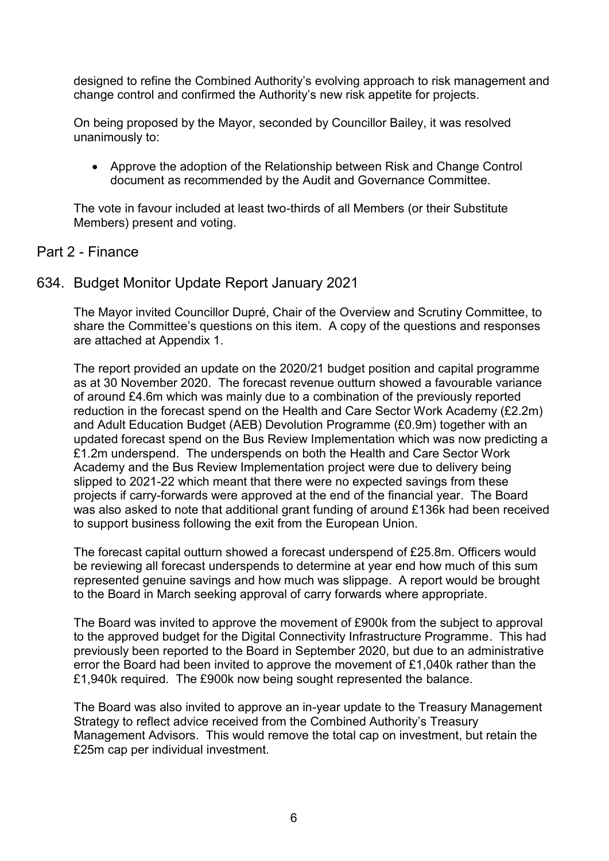designed to refine the Combined Authority's evolving approach to risk management and change control and confirmed the Authority's new risk appetite for projects.

On being proposed by the Mayor, seconded by Councillor Bailey, it was resolved unanimously to:

 Approve the adoption of the Relationship between Risk and Change Control document as recommended by the Audit and Governance Committee.

The vote in favour included at least two-thirds of all Members (or their Substitute Members) present and voting.

#### Part 2 - Finance

### 634. Budget Monitor Update Report January 2021

The Mayor invited Councillor Dupré, Chair of the Overview and Scrutiny Committee, to share the Committee's questions on this item. A copy of the questions and responses are attached at Appendix 1.

The report provided an update on the 2020/21 budget position and capital programme as at 30 November 2020. The forecast revenue outturn showed a favourable variance of around £4.6m which was mainly due to a combination of the previously reported reduction in the forecast spend on the Health and Care Sector Work Academy (£2.2m) and Adult Education Budget (AEB) Devolution Programme (£0.9m) together with an updated forecast spend on the Bus Review Implementation which was now predicting a £1.2m underspend. The underspends on both the Health and Care Sector Work Academy and the Bus Review Implementation project were due to delivery being slipped to 2021-22 which meant that there were no expected savings from these projects if carry-forwards were approved at the end of the financial year. The Board was also asked to note that additional grant funding of around £136k had been received to support business following the exit from the European Union.

The forecast capital outturn showed a forecast underspend of £25.8m. Officers would be reviewing all forecast underspends to determine at year end how much of this sum represented genuine savings and how much was slippage. A report would be brought to the Board in March seeking approval of carry forwards where appropriate.

The Board was invited to approve the movement of £900k from the subject to approval to the approved budget for the Digital Connectivity Infrastructure Programme. This had previously been reported to the Board in September 2020, but due to an administrative error the Board had been invited to approve the movement of £1,040k rather than the £1,940k required. The £900k now being sought represented the balance.

The Board was also invited to approve an in-year update to the Treasury Management Strategy to reflect advice received from the Combined Authority's Treasury Management Advisors. This would remove the total cap on investment, but retain the £25m cap per individual investment.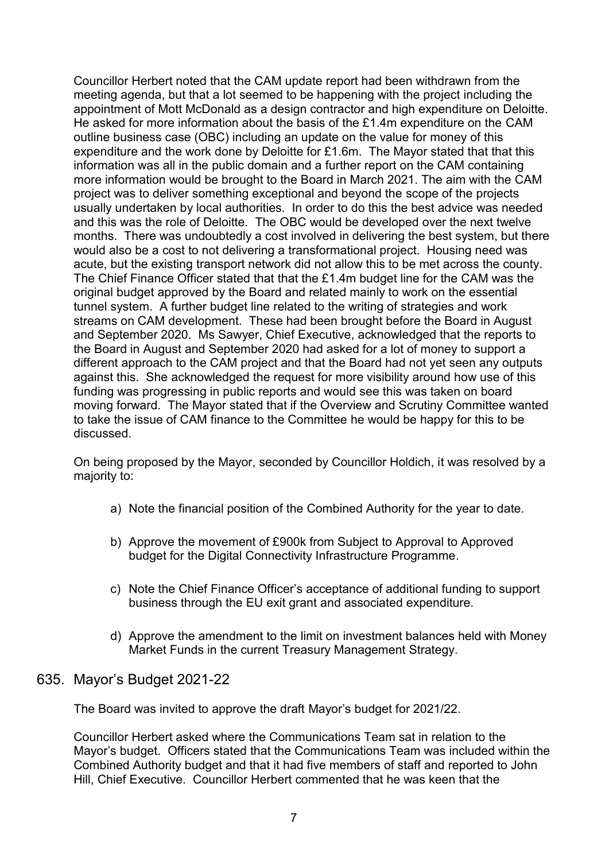Councillor Herbert noted that the CAM update report had been withdrawn from the meeting agenda, but that a lot seemed to be happening with the project including the appointment of Mott McDonald as a design contractor and high expenditure on Deloitte. He asked for more information about the basis of the £1.4m expenditure on the CAM outline business case (OBC) including an update on the value for money of this expenditure and the work done by Deloitte for £1.6m. The Mayor stated that that this information was all in the public domain and a further report on the CAM containing more information would be brought to the Board in March 2021. The aim with the CAM project was to deliver something exceptional and beyond the scope of the projects usually undertaken by local authorities. In order to do this the best advice was needed and this was the role of Deloitte. The OBC would be developed over the next twelve months. There was undoubtedly a cost involved in delivering the best system, but there would also be a cost to not delivering a transformational project. Housing need was acute, but the existing transport network did not allow this to be met across the county. The Chief Finance Officer stated that that the £1.4m budget line for the CAM was the original budget approved by the Board and related mainly to work on the essential tunnel system. A further budget line related to the writing of strategies and work streams on CAM development. These had been brought before the Board in August and September 2020. Ms Sawyer, Chief Executive, acknowledged that the reports to the Board in August and September 2020 had asked for a lot of money to support a different approach to the CAM project and that the Board had not yet seen any outputs against this. She acknowledged the request for more visibility around how use of this funding was progressing in public reports and would see this was taken on board moving forward. The Mayor stated that if the Overview and Scrutiny Committee wanted to take the issue of CAM finance to the Committee he would be happy for this to be discussed.

On being proposed by the Mayor, seconded by Councillor Holdich, it was resolved by a majority to:

- a) Note the financial position of the Combined Authority for the year to date.
- b) Approve the movement of £900k from Subject to Approval to Approved budget for the Digital Connectivity Infrastructure Programme.
- c) Note the Chief Finance Officer's acceptance of additional funding to support business through the EU exit grant and associated expenditure.
- d) Approve the amendment to the limit on investment balances held with Money Market Funds in the current Treasury Management Strategy.

#### 635. Mayor's Budget 2021-22

The Board was invited to approve the draft Mayor's budget for 2021/22.

Councillor Herbert asked where the Communications Team sat in relation to the Mayor's budget. Officers stated that the Communications Team was included within the Combined Authority budget and that it had five members of staff and reported to John Hill, Chief Executive. Councillor Herbert commented that he was keen that the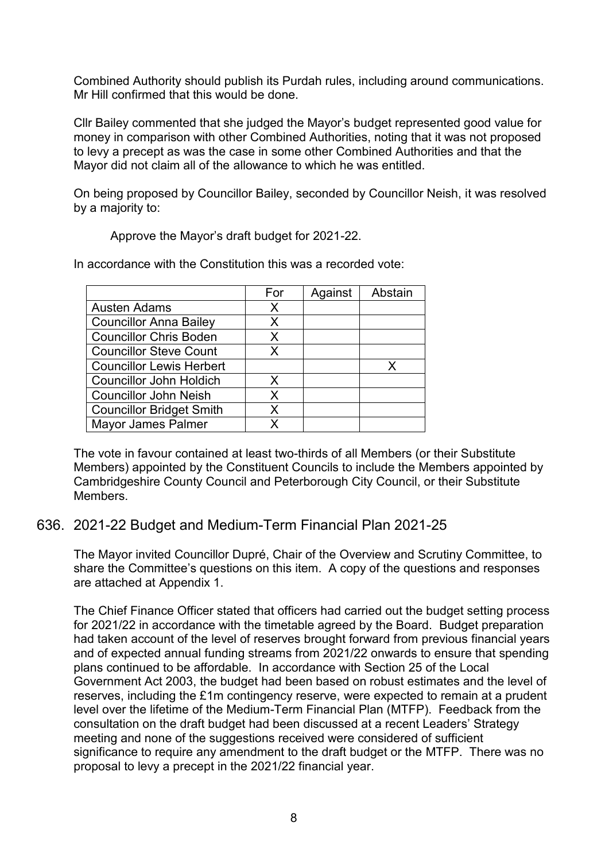Combined Authority should publish its Purdah rules, including around communications. Mr Hill confirmed that this would be done.

Cllr Bailey commented that she judged the Mayor's budget represented good value for money in comparison with other Combined Authorities, noting that it was not proposed to levy a precept as was the case in some other Combined Authorities and that the Mayor did not claim all of the allowance to which he was entitled.

On being proposed by Councillor Bailey, seconded by Councillor Neish, it was resolved by a majority to:

Approve the Mayor's draft budget for 2021-22.

In accordance with the Constitution this was a recorded vote:

|                                 | For | Against | Abstain |
|---------------------------------|-----|---------|---------|
| Austen Adams                    | X   |         |         |
| <b>Councillor Anna Bailey</b>   | X   |         |         |
| <b>Councillor Chris Boden</b>   | X   |         |         |
| <b>Councillor Steve Count</b>   | X   |         |         |
| <b>Councillor Lewis Herbert</b> |     |         |         |
| <b>Councillor John Holdich</b>  | X   |         |         |
| <b>Councillor John Neish</b>    | X   |         |         |
| <b>Councillor Bridget Smith</b> | x   |         |         |
| <b>Mayor James Palmer</b>       |     |         |         |

The vote in favour contained at least two-thirds of all Members (or their Substitute Members) appointed by the Constituent Councils to include the Members appointed by Cambridgeshire County Council and Peterborough City Council, or their Substitute Members.

### 636. 2021-22 Budget and Medium-Term Financial Plan 2021-25

The Mayor invited Councillor Dupré, Chair of the Overview and Scrutiny Committee, to share the Committee's questions on this item. A copy of the questions and responses are attached at Appendix 1.

The Chief Finance Officer stated that officers had carried out the budget setting process for 2021/22 in accordance with the timetable agreed by the Board. Budget preparation had taken account of the level of reserves brought forward from previous financial years and of expected annual funding streams from 2021/22 onwards to ensure that spending plans continued to be affordable. In accordance with Section 25 of the Local Government Act 2003, the budget had been based on robust estimates and the level of reserves, including the £1m contingency reserve, were expected to remain at a prudent level over the lifetime of the Medium-Term Financial Plan (MTFP). Feedback from the consultation on the draft budget had been discussed at a recent Leaders' Strategy meeting and none of the suggestions received were considered of sufficient significance to require any amendment to the draft budget or the MTFP. There was no proposal to levy a precept in the 2021/22 financial year.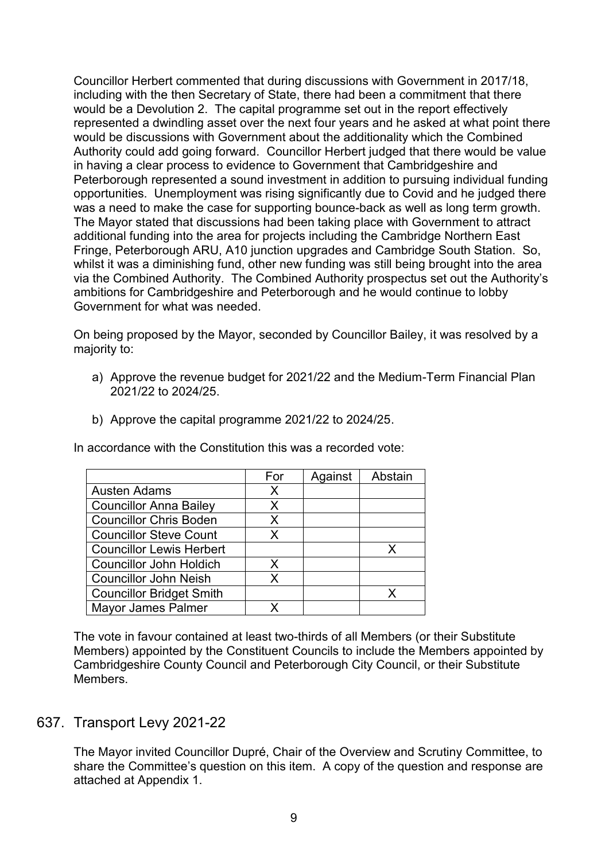Councillor Herbert commented that during discussions with Government in 2017/18, including with the then Secretary of State, there had been a commitment that there would be a Devolution 2. The capital programme set out in the report effectively represented a dwindling asset over the next four years and he asked at what point there would be discussions with Government about the additionality which the Combined Authority could add going forward. Councillor Herbert judged that there would be value in having a clear process to evidence to Government that Cambridgeshire and Peterborough represented a sound investment in addition to pursuing individual funding opportunities. Unemployment was rising significantly due to Covid and he judged there was a need to make the case for supporting bounce-back as well as long term growth. The Mayor stated that discussions had been taking place with Government to attract additional funding into the area for projects including the Cambridge Northern East Fringe, Peterborough ARU, A10 junction upgrades and Cambridge South Station. So, whilst it was a diminishing fund, other new funding was still being brought into the area via the Combined Authority. The Combined Authority prospectus set out the Authority's ambitions for Cambridgeshire and Peterborough and he would continue to lobby Government for what was needed.

On being proposed by the Mayor, seconded by Councillor Bailey, it was resolved by a majority to:

- a) Approve the revenue budget for 2021/22 and the Medium-Term Financial Plan 2021/22 to 2024/25.
- b) Approve the capital programme 2021/22 to 2024/25.

In accordance with the Constitution this was a recorded vote:

|                                 | For | Against | Abstain |
|---------------------------------|-----|---------|---------|
| <b>Austen Adams</b>             | X   |         |         |
| <b>Councillor Anna Bailey</b>   | X   |         |         |
| <b>Councillor Chris Boden</b>   | X.  |         |         |
| <b>Councillor Steve Count</b>   | x   |         |         |
| <b>Councillor Lewis Herbert</b> |     |         |         |
| <b>Councillor John Holdich</b>  | x   |         |         |
| <b>Councillor John Neish</b>    |     |         |         |
| <b>Councillor Bridget Smith</b> |     |         |         |
| <b>Mayor James Palmer</b>       |     |         |         |

The vote in favour contained at least two-thirds of all Members (or their Substitute Members) appointed by the Constituent Councils to include the Members appointed by Cambridgeshire County Council and Peterborough City Council, or their Substitute Members.

## 637. Transport Levy 2021-22

The Mayor invited Councillor Dupré, Chair of the Overview and Scrutiny Committee, to share the Committee's question on this item. A copy of the question and response are attached at Appendix 1.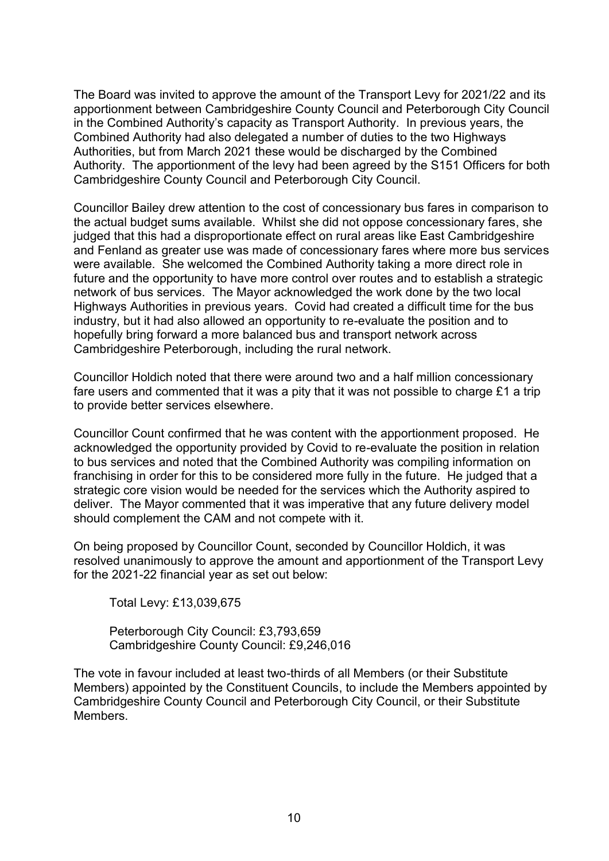The Board was invited to approve the amount of the Transport Levy for 2021/22 and its apportionment between Cambridgeshire County Council and Peterborough City Council in the Combined Authority's capacity as Transport Authority. In previous years, the Combined Authority had also delegated a number of duties to the two Highways Authorities, but from March 2021 these would be discharged by the Combined Authority. The apportionment of the levy had been agreed by the S151 Officers for both Cambridgeshire County Council and Peterborough City Council.

Councillor Bailey drew attention to the cost of concessionary bus fares in comparison to the actual budget sums available. Whilst she did not oppose concessionary fares, she judged that this had a disproportionate effect on rural areas like East Cambridgeshire and Fenland as greater use was made of concessionary fares where more bus services were available. She welcomed the Combined Authority taking a more direct role in future and the opportunity to have more control over routes and to establish a strategic network of bus services. The Mayor acknowledged the work done by the two local Highways Authorities in previous years. Covid had created a difficult time for the bus industry, but it had also allowed an opportunity to re-evaluate the position and to hopefully bring forward a more balanced bus and transport network across Cambridgeshire Peterborough, including the rural network.

Councillor Holdich noted that there were around two and a half million concessionary fare users and commented that it was a pity that it was not possible to charge £1 a trip to provide better services elsewhere.

Councillor Count confirmed that he was content with the apportionment proposed. He acknowledged the opportunity provided by Covid to re-evaluate the position in relation to bus services and noted that the Combined Authority was compiling information on franchising in order for this to be considered more fully in the future. He judged that a strategic core vision would be needed for the services which the Authority aspired to deliver. The Mayor commented that it was imperative that any future delivery model should complement the CAM and not compete with it.

On being proposed by Councillor Count, seconded by Councillor Holdich, it was resolved unanimously to approve the amount and apportionment of the Transport Levy for the 2021-22 financial year as set out below:

Total Levy: £13,039,675

Peterborough City Council: £3,793,659 Cambridgeshire County Council: £9,246,016

The vote in favour included at least two-thirds of all Members (or their Substitute Members) appointed by the Constituent Councils, to include the Members appointed by Cambridgeshire County Council and Peterborough City Council, or their Substitute Members.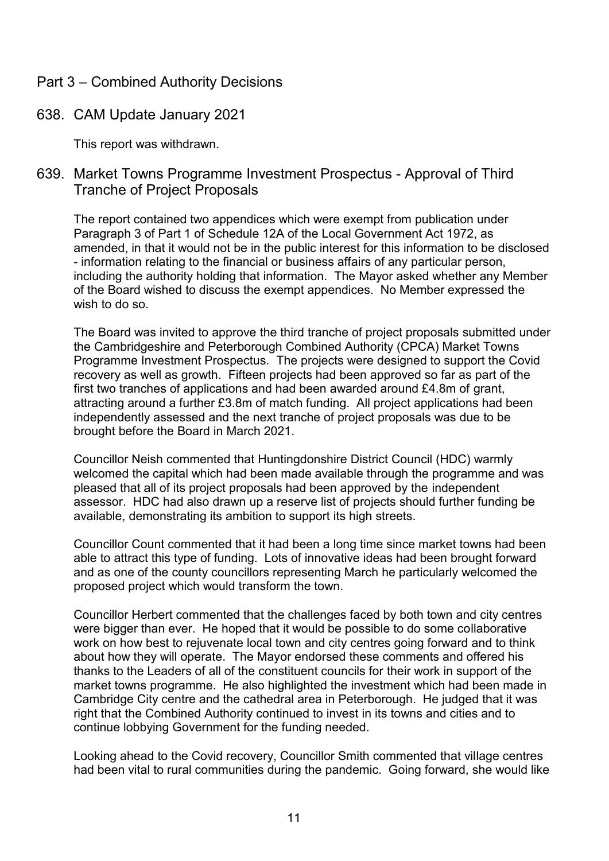## Part 3 – Combined Authority Decisions

### 638. CAM Update January 2021

This report was withdrawn.

## 639. Market Towns Programme Investment Prospectus - Approval of Third Tranche of Project Proposals

The report contained two appendices which were exempt from publication under Paragraph 3 of Part 1 of Schedule 12A of the Local Government Act 1972, as amended, in that it would not be in the public interest for this information to be disclosed - information relating to the financial or business affairs of any particular person, including the authority holding that information. The Mayor asked whether any Member of the Board wished to discuss the exempt appendices. No Member expressed the wish to do so.

The Board was invited to approve the third tranche of project proposals submitted under the Cambridgeshire and Peterborough Combined Authority (CPCA) Market Towns Programme Investment Prospectus. The projects were designed to support the Covid recovery as well as growth. Fifteen projects had been approved so far as part of the first two tranches of applications and had been awarded around £4.8m of grant, attracting around a further £3.8m of match funding. All project applications had been independently assessed and the next tranche of project proposals was due to be brought before the Board in March 2021.

Councillor Neish commented that Huntingdonshire District Council (HDC) warmly welcomed the capital which had been made available through the programme and was pleased that all of its project proposals had been approved by the independent assessor. HDC had also drawn up a reserve list of projects should further funding be available, demonstrating its ambition to support its high streets.

Councillor Count commented that it had been a long time since market towns had been able to attract this type of funding. Lots of innovative ideas had been brought forward and as one of the county councillors representing March he particularly welcomed the proposed project which would transform the town.

Councillor Herbert commented that the challenges faced by both town and city centres were bigger than ever. He hoped that it would be possible to do some collaborative work on how best to rejuvenate local town and city centres going forward and to think about how they will operate. The Mayor endorsed these comments and offered his thanks to the Leaders of all of the constituent councils for their work in support of the market towns programme. He also highlighted the investment which had been made in Cambridge City centre and the cathedral area in Peterborough. He judged that it was right that the Combined Authority continued to invest in its towns and cities and to continue lobbying Government for the funding needed.

Looking ahead to the Covid recovery, Councillor Smith commented that village centres had been vital to rural communities during the pandemic. Going forward, she would like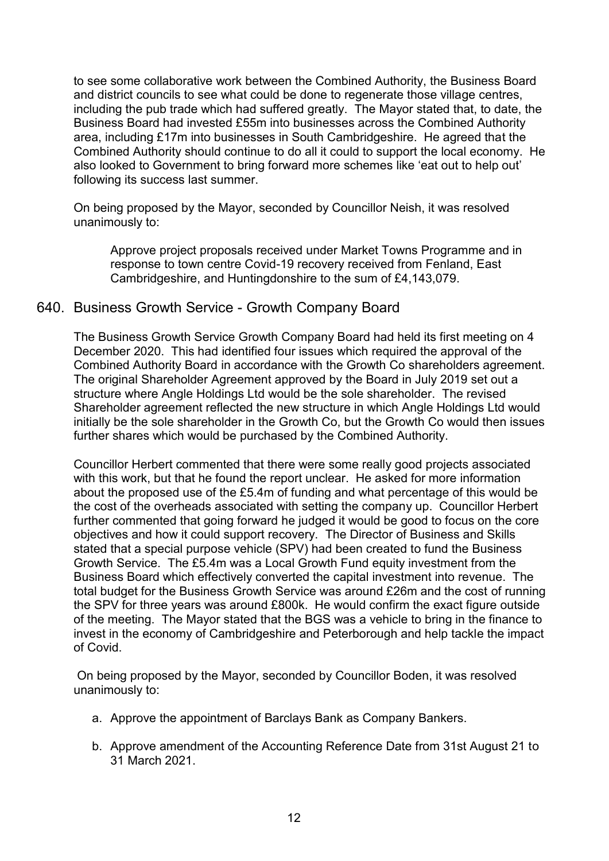to see some collaborative work between the Combined Authority, the Business Board and district councils to see what could be done to regenerate those village centres, including the pub trade which had suffered greatly. The Mayor stated that, to date, the Business Board had invested £55m into businesses across the Combined Authority area, including £17m into businesses in South Cambridgeshire. He agreed that the Combined Authority should continue to do all it could to support the local economy. He also looked to Government to bring forward more schemes like 'eat out to help out' following its success last summer.

On being proposed by the Mayor, seconded by Councillor Neish, it was resolved unanimously to:

Approve project proposals received under Market Towns Programme and in response to town centre Covid-19 recovery received from Fenland, East Cambridgeshire, and Huntingdonshire to the sum of £4,143,079.

#### 640. Business Growth Service - Growth Company Board

The Business Growth Service Growth Company Board had held its first meeting on 4 December 2020. This had identified four issues which required the approval of the Combined Authority Board in accordance with the Growth Co shareholders agreement. The original Shareholder Agreement approved by the Board in July 2019 set out a structure where Angle Holdings Ltd would be the sole shareholder. The revised Shareholder agreement reflected the new structure in which Angle Holdings Ltd would initially be the sole shareholder in the Growth Co, but the Growth Co would then issues further shares which would be purchased by the Combined Authority.

Councillor Herbert commented that there were some really good projects associated with this work, but that he found the report unclear. He asked for more information about the proposed use of the £5.4m of funding and what percentage of this would be the cost of the overheads associated with setting the company up. Councillor Herbert further commented that going forward he judged it would be good to focus on the core objectives and how it could support recovery. The Director of Business and Skills stated that a special purpose vehicle (SPV) had been created to fund the Business Growth Service. The £5.4m was a Local Growth Fund equity investment from the Business Board which effectively converted the capital investment into revenue. The total budget for the Business Growth Service was around £26m and the cost of running the SPV for three years was around £800k. He would confirm the exact figure outside of the meeting. The Mayor stated that the BGS was a vehicle to bring in the finance to invest in the economy of Cambridgeshire and Peterborough and help tackle the impact of Covid.

 On being proposed by the Mayor, seconded by Councillor Boden, it was resolved unanimously to:

- a. Approve the appointment of Barclays Bank as Company Bankers.
- b. Approve amendment of the Accounting Reference Date from 31st August 21 to 31 March 2021.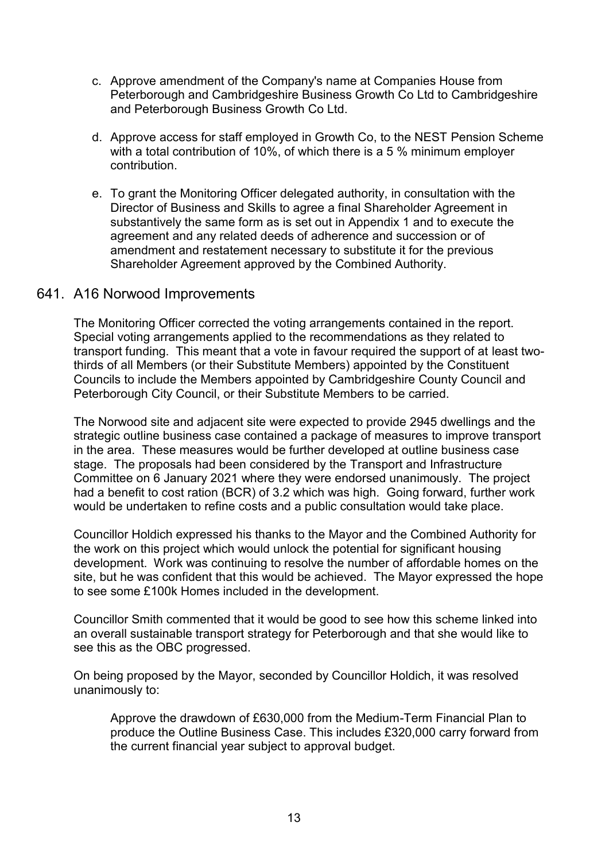- c. Approve amendment of the Company's name at Companies House from Peterborough and Cambridgeshire Business Growth Co Ltd to Cambridgeshire and Peterborough Business Growth Co Ltd.
- d. Approve access for staff employed in Growth Co, to the NEST Pension Scheme with a total contribution of 10%, of which there is a 5 % minimum employer contribution.
- e. To grant the Monitoring Officer delegated authority, in consultation with the Director of Business and Skills to agree a final Shareholder Agreement in substantively the same form as is set out in Appendix 1 and to execute the agreement and any related deeds of adherence and succession or of amendment and restatement necessary to substitute it for the previous Shareholder Agreement approved by the Combined Authority.

#### 641. A16 Norwood Improvements

The Monitoring Officer corrected the voting arrangements contained in the report. Special voting arrangements applied to the recommendations as they related to transport funding. This meant that a vote in favour required the support of at least twothirds of all Members (or their Substitute Members) appointed by the Constituent Councils to include the Members appointed by Cambridgeshire County Council and Peterborough City Council, or their Substitute Members to be carried.

The Norwood site and adjacent site were expected to provide 2945 dwellings and the strategic outline business case contained a package of measures to improve transport in the area. These measures would be further developed at outline business case stage. The proposals had been considered by the Transport and Infrastructure Committee on 6 January 2021 where they were endorsed unanimously. The project had a benefit to cost ration (BCR) of 3.2 which was high. Going forward, further work would be undertaken to refine costs and a public consultation would take place.

Councillor Holdich expressed his thanks to the Mayor and the Combined Authority for the work on this project which would unlock the potential for significant housing development. Work was continuing to resolve the number of affordable homes on the site, but he was confident that this would be achieved. The Mayor expressed the hope to see some £100k Homes included in the development.

Councillor Smith commented that it would be good to see how this scheme linked into an overall sustainable transport strategy for Peterborough and that she would like to see this as the OBC progressed.

On being proposed by the Mayor, seconded by Councillor Holdich, it was resolved unanimously to:

Approve the drawdown of £630,000 from the Medium-Term Financial Plan to produce the Outline Business Case. This includes £320,000 carry forward from the current financial year subject to approval budget.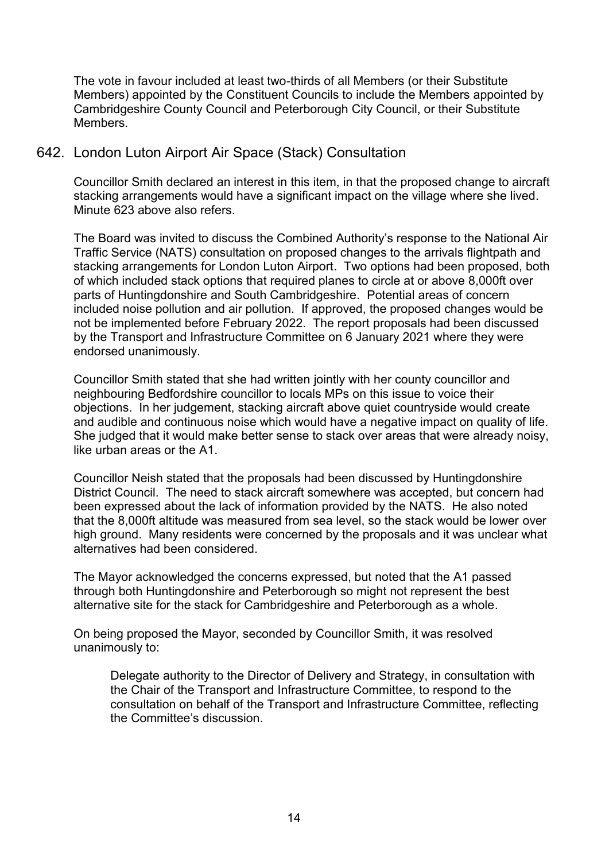The vote in favour included at least two-thirds of all Members (or their Substitute Members) appointed by the Constituent Councils to include the Members appointed by Cambridgeshire County Council and Peterborough City Council, or their Substitute Members.

# 642. London Luton Airport Air Space (Stack) Consultation

Councillor Smith declared an interest in this item, in that the proposed change to aircraft stacking arrangements would have a significant impact on the village where she lived. Minute 623 above also refers.

The Board was invited to discuss the Combined Authority's response to the National Air Traffic Service (NATS) consultation on proposed changes to the arrivals flightpath and stacking arrangements for London Luton Airport. Two options had been proposed, both of which included stack options that required planes to circle at or above 8,000ft over parts of Huntingdonshire and South Cambridgeshire. Potential areas of concern included noise pollution and air pollution. If approved, the proposed changes would be not be implemented before February 2022. The report proposals had been discussed by the Transport and Infrastructure Committee on 6 January 2021 where they were endorsed unanimously.

Councillor Smith stated that she had written jointly with her county councillor and neighbouring Bedfordshire councillor to locals MPs on this issue to voice their objections. In her judgement, stacking aircraft above quiet countryside would create and audible and continuous noise which would have a negative impact on quality of life. She judged that it would make better sense to stack over areas that were already noisy, like urban areas or the A1.

Councillor Neish stated that the proposals had been discussed by Huntingdonshire District Council. The need to stack aircraft somewhere was accepted, but concern had been expressed about the lack of information provided by the NATS. He also noted that the 8,000ft altitude was measured from sea level, so the stack would be lower over high ground. Many residents were concerned by the proposals and it was unclear what alternatives had been considered.

The Mayor acknowledged the concerns expressed, but noted that the A1 passed through both Huntingdonshire and Peterborough so might not represent the best alternative site for the stack for Cambridgeshire and Peterborough as a whole.

On being proposed the Mayor, seconded by Councillor Smith, it was resolved unanimously to:

Delegate authority to the Director of Delivery and Strategy, in consultation with the Chair of the Transport and Infrastructure Committee, to respond to the consultation on behalf of the Transport and Infrastructure Committee, reflecting the Committee's discussion.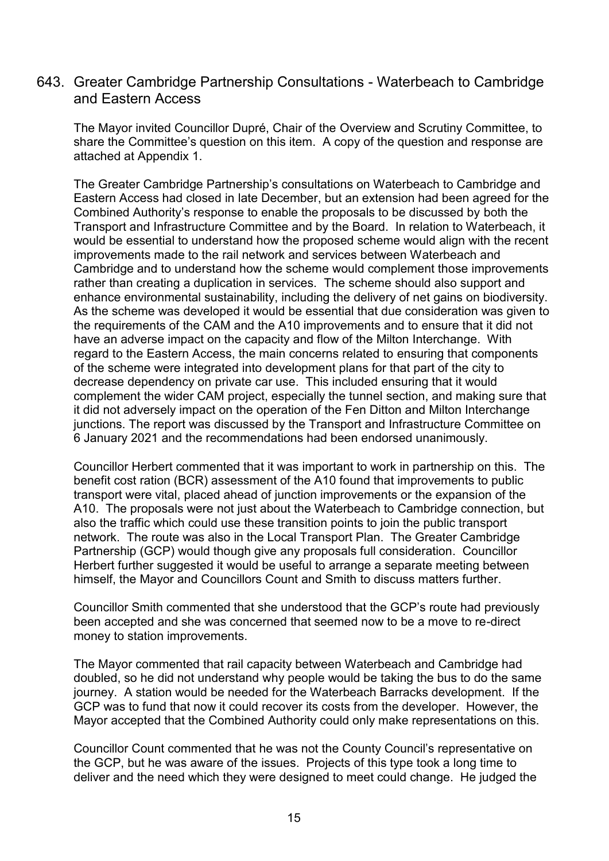### 643. Greater Cambridge Partnership Consultations - Waterbeach to Cambridge and Eastern Access

The Mayor invited Councillor Dupré, Chair of the Overview and Scrutiny Committee, to share the Committee's question on this item. A copy of the question and response are attached at Appendix 1.

The Greater Cambridge Partnership's consultations on Waterbeach to Cambridge and Eastern Access had closed in late December, but an extension had been agreed for the Combined Authority's response to enable the proposals to be discussed by both the Transport and Infrastructure Committee and by the Board. In relation to Waterbeach, it would be essential to understand how the proposed scheme would align with the recent improvements made to the rail network and services between Waterbeach and Cambridge and to understand how the scheme would complement those improvements rather than creating a duplication in services. The scheme should also support and enhance environmental sustainability, including the delivery of net gains on biodiversity. As the scheme was developed it would be essential that due consideration was given to the requirements of the CAM and the A10 improvements and to ensure that it did not have an adverse impact on the capacity and flow of the Milton Interchange. With regard to the Eastern Access, the main concerns related to ensuring that components of the scheme were integrated into development plans for that part of the city to decrease dependency on private car use. This included ensuring that it would complement the wider CAM project, especially the tunnel section, and making sure that it did not adversely impact on the operation of the Fen Ditton and Milton Interchange junctions. The report was discussed by the Transport and Infrastructure Committee on 6 January 2021 and the recommendations had been endorsed unanimously.

Councillor Herbert commented that it was important to work in partnership on this. The benefit cost ration (BCR) assessment of the A10 found that improvements to public transport were vital, placed ahead of junction improvements or the expansion of the A10. The proposals were not just about the Waterbeach to Cambridge connection, but also the traffic which could use these transition points to join the public transport network. The route was also in the Local Transport Plan. The Greater Cambridge Partnership (GCP) would though give any proposals full consideration. Councillor Herbert further suggested it would be useful to arrange a separate meeting between himself, the Mayor and Councillors Count and Smith to discuss matters further.

Councillor Smith commented that she understood that the GCP's route had previously been accepted and she was concerned that seemed now to be a move to re-direct money to station improvements.

The Mayor commented that rail capacity between Waterbeach and Cambridge had doubled, so he did not understand why people would be taking the bus to do the same journey. A station would be needed for the Waterbeach Barracks development. If the GCP was to fund that now it could recover its costs from the developer. However, the Mayor accepted that the Combined Authority could only make representations on this.

Councillor Count commented that he was not the County Council's representative on the GCP, but he was aware of the issues. Projects of this type took a long time to deliver and the need which they were designed to meet could change. He judged the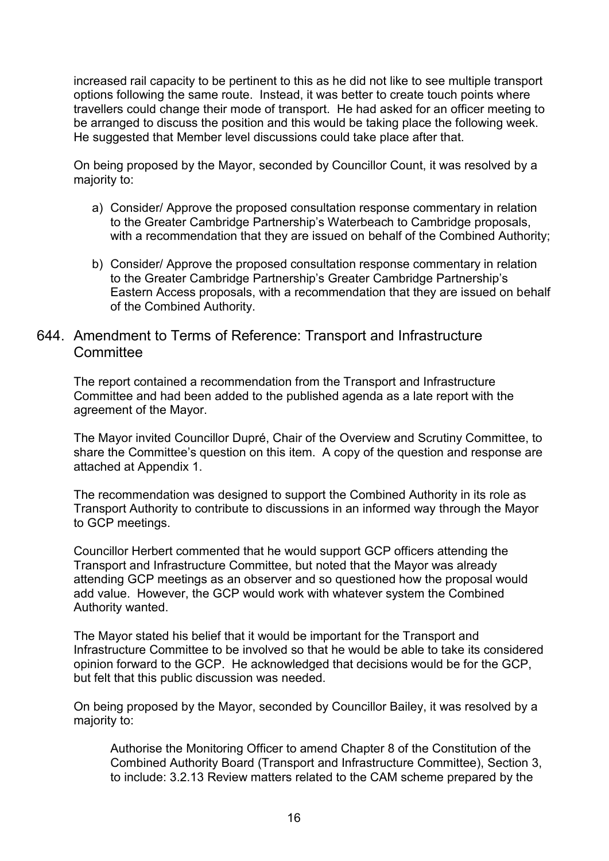increased rail capacity to be pertinent to this as he did not like to see multiple transport options following the same route. Instead, it was better to create touch points where travellers could change their mode of transport. He had asked for an officer meeting to be arranged to discuss the position and this would be taking place the following week. He suggested that Member level discussions could take place after that.

On being proposed by the Mayor, seconded by Councillor Count, it was resolved by a majority to:

- a) Consider/ Approve the proposed consultation response commentary in relation to the Greater Cambridge Partnership's Waterbeach to Cambridge proposals, with a recommendation that they are issued on behalf of the Combined Authority;
- b) Consider/ Approve the proposed consultation response commentary in relation to the Greater Cambridge Partnership's Greater Cambridge Partnership's Eastern Access proposals, with a recommendation that they are issued on behalf of the Combined Authority.

### 644. Amendment to Terms of Reference: Transport and Infrastructure **Committee**

The report contained a recommendation from the Transport and Infrastructure Committee and had been added to the published agenda as a late report with the agreement of the Mayor.

The Mayor invited Councillor Dupré, Chair of the Overview and Scrutiny Committee, to share the Committee's question on this item. A copy of the question and response are attached at Appendix 1.

The recommendation was designed to support the Combined Authority in its role as Transport Authority to contribute to discussions in an informed way through the Mayor to GCP meetings.

Councillor Herbert commented that he would support GCP officers attending the Transport and Infrastructure Committee, but noted that the Mayor was already attending GCP meetings as an observer and so questioned how the proposal would add value. However, the GCP would work with whatever system the Combined Authority wanted.

The Mayor stated his belief that it would be important for the Transport and Infrastructure Committee to be involved so that he would be able to take its considered opinion forward to the GCP. He acknowledged that decisions would be for the GCP, but felt that this public discussion was needed.

On being proposed by the Mayor, seconded by Councillor Bailey, it was resolved by a majority to:

Authorise the Monitoring Officer to amend Chapter 8 of the Constitution of the Combined Authority Board (Transport and Infrastructure Committee), Section 3, to include: 3.2.13 Review matters related to the CAM scheme prepared by the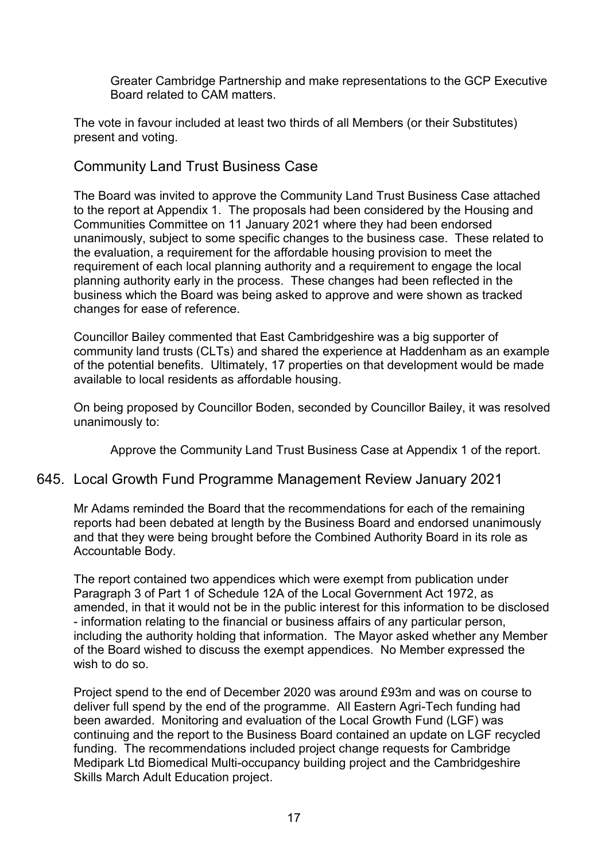Greater Cambridge Partnership and make representations to the GCP Executive Board related to CAM matters.

The vote in favour included at least two thirds of all Members (or their Substitutes) present and voting.

Community Land Trust Business Case

The Board was invited to approve the Community Land Trust Business Case attached to the report at Appendix 1. The proposals had been considered by the Housing and Communities Committee on 11 January 2021 where they had been endorsed unanimously, subject to some specific changes to the business case. These related to the evaluation, a requirement for the affordable housing provision to meet the requirement of each local planning authority and a requirement to engage the local planning authority early in the process. These changes had been reflected in the business which the Board was being asked to approve and were shown as tracked changes for ease of reference.

Councillor Bailey commented that East Cambridgeshire was a big supporter of community land trusts (CLTs) and shared the experience at Haddenham as an example of the potential benefits. Ultimately, 17 properties on that development would be made available to local residents as affordable housing.

On being proposed by Councillor Boden, seconded by Councillor Bailey, it was resolved unanimously to:

Approve the Community Land Trust Business Case at Appendix 1 of the report.

#### 645. Local Growth Fund Programme Management Review January 2021

Mr Adams reminded the Board that the recommendations for each of the remaining reports had been debated at length by the Business Board and endorsed unanimously and that they were being brought before the Combined Authority Board in its role as Accountable Body.

The report contained two appendices which were exempt from publication under Paragraph 3 of Part 1 of Schedule 12A of the Local Government Act 1972, as amended, in that it would not be in the public interest for this information to be disclosed - information relating to the financial or business affairs of any particular person, including the authority holding that information. The Mayor asked whether any Member of the Board wished to discuss the exempt appendices. No Member expressed the wish to do so.

Project spend to the end of December 2020 was around £93m and was on course to deliver full spend by the end of the programme. All Eastern Agri-Tech funding had been awarded. Monitoring and evaluation of the Local Growth Fund (LGF) was continuing and the report to the Business Board contained an update on LGF recycled funding. The recommendations included project change requests for Cambridge Medipark Ltd Biomedical Multi-occupancy building project and the Cambridgeshire Skills March Adult Education project.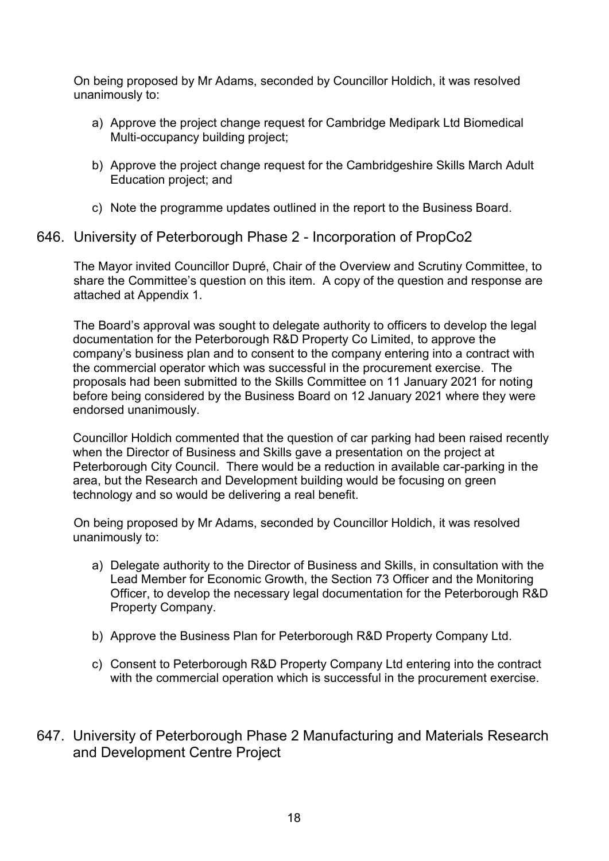On being proposed by Mr Adams, seconded by Councillor Holdich, it was resolved unanimously to:

- a) Approve the project change request for Cambridge Medipark Ltd Biomedical Multi-occupancy building project;
- b) Approve the project change request for the Cambridgeshire Skills March Adult Education project; and
- c) Note the programme updates outlined in the report to the Business Board.

### 646. University of Peterborough Phase 2 - Incorporation of PropCo2

The Mayor invited Councillor Dupré, Chair of the Overview and Scrutiny Committee, to share the Committee's question on this item. A copy of the question and response are attached at Appendix 1.

The Board's approval was sought to delegate authority to officers to develop the legal documentation for the Peterborough R&D Property Co Limited, to approve the company's business plan and to consent to the company entering into a contract with the commercial operator which was successful in the procurement exercise. The proposals had been submitted to the Skills Committee on 11 January 2021 for noting before being considered by the Business Board on 12 January 2021 where they were endorsed unanimously.

Councillor Holdich commented that the question of car parking had been raised recently when the Director of Business and Skills gave a presentation on the project at Peterborough City Council. There would be a reduction in available car-parking in the area, but the Research and Development building would be focusing on green technology and so would be delivering a real benefit.

On being proposed by Mr Adams, seconded by Councillor Holdich, it was resolved unanimously to:

- a) Delegate authority to the Director of Business and Skills, in consultation with the Lead Member for Economic Growth, the Section 73 Officer and the Monitoring Officer, to develop the necessary legal documentation for the Peterborough R&D Property Company.
- b) Approve the Business Plan for Peterborough R&D Property Company Ltd.
- c) Consent to Peterborough R&D Property Company Ltd entering into the contract with the commercial operation which is successful in the procurement exercise.
- 647. University of Peterborough Phase 2 Manufacturing and Materials Research and Development Centre Project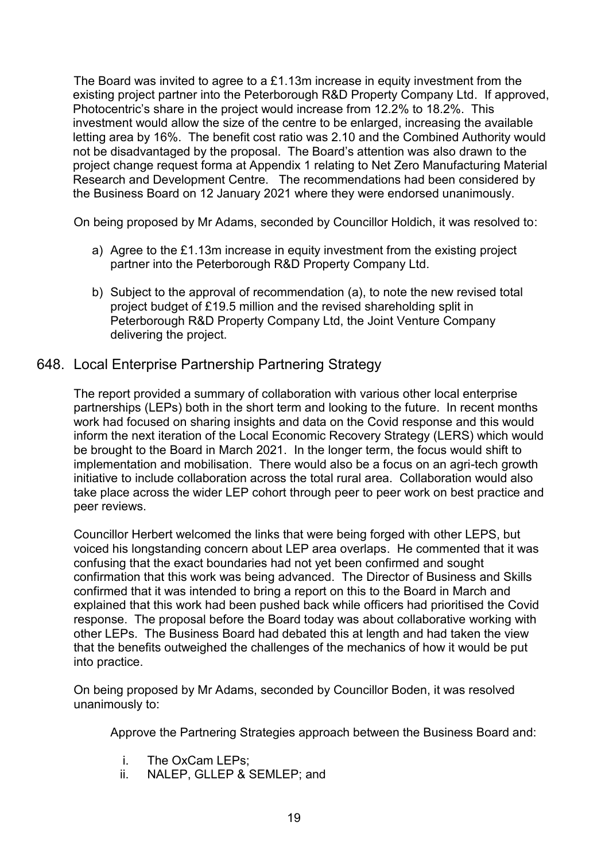The Board was invited to agree to a £1.13m increase in equity investment from the existing project partner into the Peterborough R&D Property Company Ltd. If approved, Photocentric's share in the project would increase from 12.2% to 18.2%. This investment would allow the size of the centre to be enlarged, increasing the available letting area by 16%. The benefit cost ratio was 2.10 and the Combined Authority would not be disadvantaged by the proposal. The Board's attention was also drawn to the project change request forma at Appendix 1 relating to Net Zero Manufacturing Material Research and Development Centre. The recommendations had been considered by the Business Board on 12 January 2021 where they were endorsed unanimously.

On being proposed by Mr Adams, seconded by Councillor Holdich, it was resolved to:

- a) Agree to the £1.13m increase in equity investment from the existing project partner into the Peterborough R&D Property Company Ltd.
- b) Subject to the approval of recommendation (a), to note the new revised total project budget of £19.5 million and the revised shareholding split in Peterborough R&D Property Company Ltd, the Joint Venture Company delivering the project.

# 648. Local Enterprise Partnership Partnering Strategy

The report provided a summary of collaboration with various other local enterprise partnerships (LEPs) both in the short term and looking to the future. In recent months work had focused on sharing insights and data on the Covid response and this would inform the next iteration of the Local Economic Recovery Strategy (LERS) which would be brought to the Board in March 2021. In the longer term, the focus would shift to implementation and mobilisation. There would also be a focus on an agri-tech growth initiative to include collaboration across the total rural area. Collaboration would also take place across the wider LEP cohort through peer to peer work on best practice and peer reviews.

Councillor Herbert welcomed the links that were being forged with other LEPS, but voiced his longstanding concern about LEP area overlaps. He commented that it was confusing that the exact boundaries had not yet been confirmed and sought confirmation that this work was being advanced. The Director of Business and Skills confirmed that it was intended to bring a report on this to the Board in March and explained that this work had been pushed back while officers had prioritised the Covid response. The proposal before the Board today was about collaborative working with other LEPs. The Business Board had debated this at length and had taken the view that the benefits outweighed the challenges of the mechanics of how it would be put into practice.

On being proposed by Mr Adams, seconded by Councillor Boden, it was resolved unanimously to:

Approve the Partnering Strategies approach between the Business Board and:

- i. The OxCam LEPs;
- ii. NALEP, GLLEP & SEMLEP; and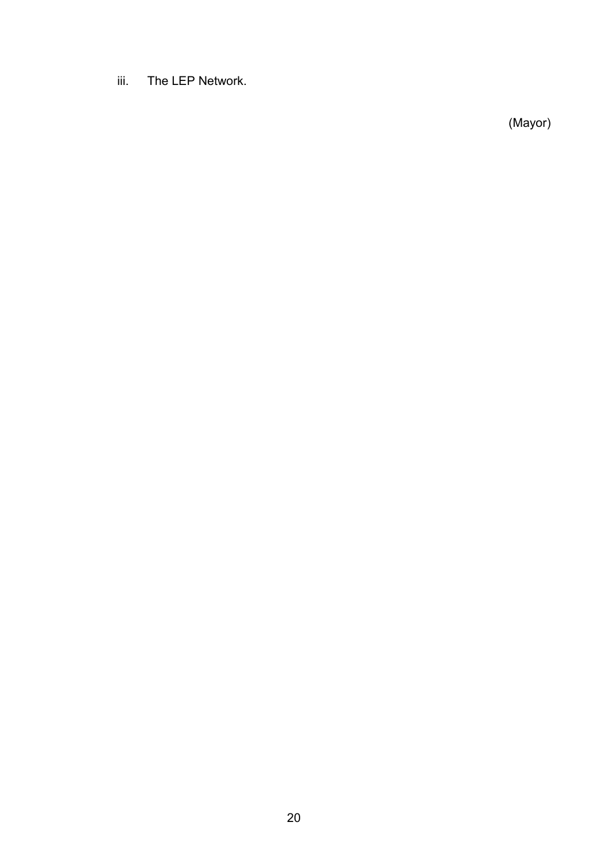iii. The LEP Network.

(Mayor)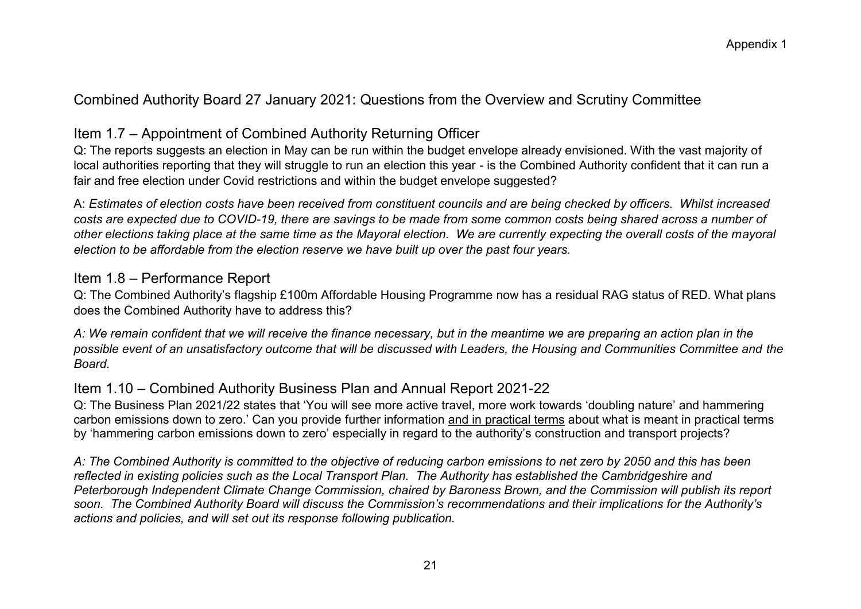# Combined Authority Board 27 January 2021: Questions from the Overview and Scrutiny Committee

# Item 1.7 – Appointment of Combined Authority Returning Officer

Q: The reports suggests an election in May can be run within the budget envelope already envisioned. With the vast majority of local authorities reporting that they will struggle to run an election this year - is the Combined Authority confident that it can run a fair and free election under Covid restrictions and within the budget envelope suggested?

A: *Estimates of election costs have been received from constituent councils and are being checked by officers. Whilst increased costs are expected due to COVID-19, there are savings to be made from some common costs being shared across a number of other elections taking place at the same time as the Mayoral election. We are currently expecting the overall costs of the mayoral election to be affordable from the election reserve we have built up over the past four years.* 

## Item 1.8 – Performance Report

Q: The Combined Authority's flagship £100m Affordable Housing Programme now has a residual RAG status of RED. What plans does the Combined Authority have to address this?

*A: We remain confident that we will receive the finance necessary, but in the meantime we are preparing an action plan in the possible event of an unsatisfactory outcome that will be discussed with Leaders, the Housing and Communities Committee and the Board.* 

# Item 1.10 – Combined Authority Business Plan and Annual Report 2021-22

Q: The Business Plan 2021/22 states that 'You will see more active travel, more work towards 'doubling nature' and hammering carbon emissions down to zero.' Can you provide further information and in practical terms about what is meant in practical terms by 'hammering carbon emissions down to zero' especially in regard to the authority's construction and transport projects?

*A: The Combined Authority is committed to the objective of reducing carbon emissions to net zero by 2050 and this has been reflected in existing policies such as the Local Transport Plan. The Authority has established the Cambridgeshire and Peterborough Independent Climate Change Commission, chaired by Baroness Brown, and the Commission will publish its report soon. The Combined Authority Board will discuss the Commission's recommendations and their implications for the Authority's actions and policies, and will set out its response following publication.*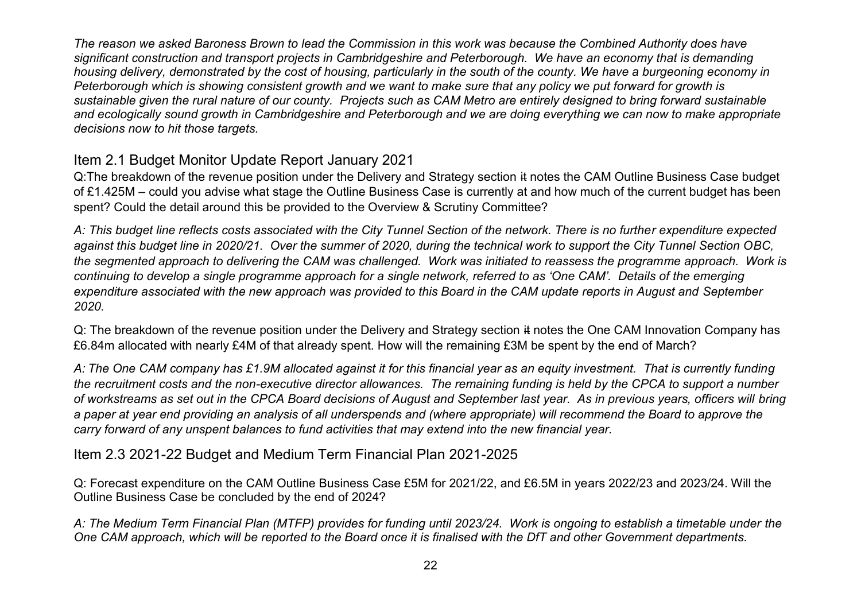*The reason we asked Baroness Brown to lead the Commission in this work was because the Combined Authority does have significant construction and transport projects in Cambridgeshire and Peterborough. We have an economy that is demanding housing delivery, demonstrated by the cost of housing, particularly in the south of the county. We have a burgeoning economy in Peterborough which is showing consistent growth and we want to make sure that any policy we put forward for growth is sustainable given the rural nature of our county. Projects such as CAM Metro are entirely designed to bring forward sustainable*  and ecologically sound growth in Cambridgeshire and Peterborough and we are doing everything we can now to make appropriate *decisions now to hit those targets.* 

# Item 2.1 Budget Monitor Update Report January 2021

Q:The breakdown of the revenue position under the Delivery and Strategy section it notes the CAM Outline Business Case budget of £1.425M – could you advise what stage the Outline Business Case is currently at and how much of the current budget has been spent? Could the detail around this be provided to the Overview & Scrutiny Committee?

*A: This budget line reflects costs associated with the City Tunnel Section of the network. There is no further expenditure expected against this budget line in 2020/21. Over the summer of 2020, during the technical work to support the City Tunnel Section OBC, the segmented approach to delivering the CAM was challenged. Work was initiated to reassess the programme approach. Work is continuing to develop a single programme approach for a single network, referred to as 'One CAM'. Details of the emerging expenditure associated with the new approach was provided to this Board in the CAM update reports in August and September 2020.* 

Q: The breakdown of the revenue position under the Delivery and Strategy section it notes the One CAM Innovation Company has £6.84m allocated with nearly £4M of that already spent. How will the remaining £3M be spent by the end of March?

*A: The One CAM company has £1.9M allocated against it for this financial year as an equity investment. That is currently funding the recruitment costs and the non-executive director allowances. The remaining funding is held by the CPCA to support a number of workstreams as set out in the CPCA Board decisions of August and September last year. As in previous years, officers will bring a paper at year end providing an analysis of all underspends and (where appropriate) will recommend the Board to approve the carry forward of any unspent balances to fund activities that may extend into the new financial year.* 

Item 2.3 2021-22 Budget and Medium Term Financial Plan 2021-2025

Q: Forecast expenditure on the CAM Outline Business Case £5M for 2021/22, and £6.5M in years 2022/23 and 2023/24. Will the Outline Business Case be concluded by the end of 2024?

*A: The Medium Term Financial Plan (MTFP) provides for funding until 2023/24. Work is ongoing to establish a timetable under the One CAM approach, which will be reported to the Board once it is finalised with the DfT and other Government departments.*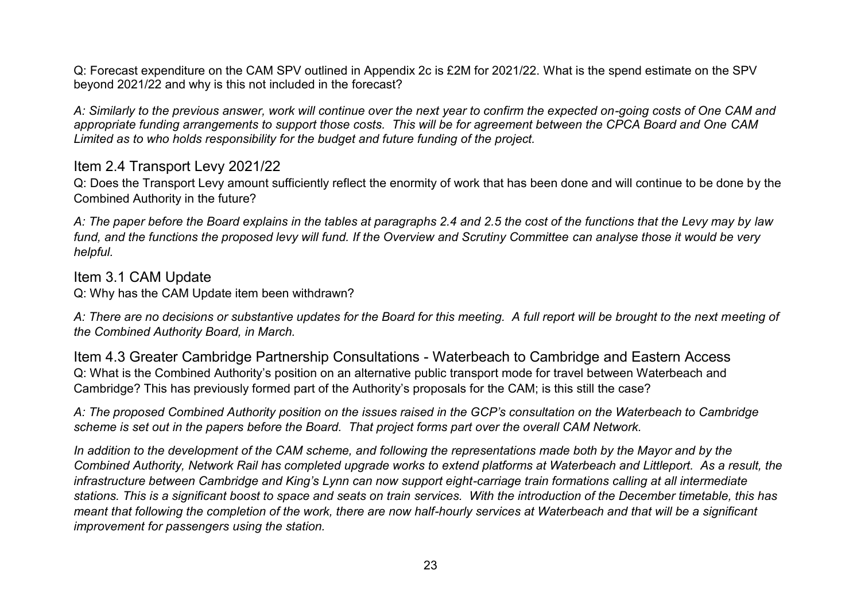Q: Forecast expenditure on the CAM SPV outlined in Appendix 2c is £2M for 2021/22. What is the spend estimate on the SPV beyond 2021/22 and why is this not included in the forecast?

*A: Similarly to the previous answer, work will continue over the next year to confirm the expected on-going costs of One CAM and appropriate funding arrangements to support those costs. This will be for agreement between the CPCA Board and One CAM Limited as to who holds responsibility for the budget and future funding of the project.* 

## Item 2.4 Transport Levy 2021/22

Q: Does the Transport Levy amount sufficiently reflect the enormity of work that has been done and will continue to be done by the Combined Authority in the future?

*A: The paper before the Board explains in the tables at paragraphs 2.4 and 2.5 the cost of the functions that the Levy may by law fund, and the functions the proposed levy will fund. If the Overview and Scrutiny Committee can analyse those it would be very helpful.* 

# Item 3.1 CAM Update

Q: Why has the CAM Update item been withdrawn?

*A: There are no decisions or substantive updates for the Board for this meeting. A full report will be brought to the next meeting of the Combined Authority Board, in March.* 

Item 4.3 Greater Cambridge Partnership Consultations - Waterbeach to Cambridge and Eastern Access Q: What is the Combined Authority's position on an alternative public transport mode for travel between Waterbeach and Cambridge? This has previously formed part of the Authority's proposals for the CAM; is this still the case?

*A: The proposed Combined Authority position on the issues raised in the GCP's consultation on the Waterbeach to Cambridge scheme is set out in the papers before the Board. That project forms part over the overall CAM Network.* 

*In addition to the development of the CAM scheme, and following the representations made both by the Mayor and by the Combined Authority, Network Rail has completed upgrade works to extend platforms at Waterbeach and Littleport. As a result, the infrastructure between Cambridge and King's Lynn can now support eight-carriage train formations calling at all intermediate stations. This is a significant boost to space and seats on train services. With the introduction of the December timetable, this has meant that following the completion of the work, there are now half-hourly services at Waterbeach and that will be a significant improvement for passengers using the station.*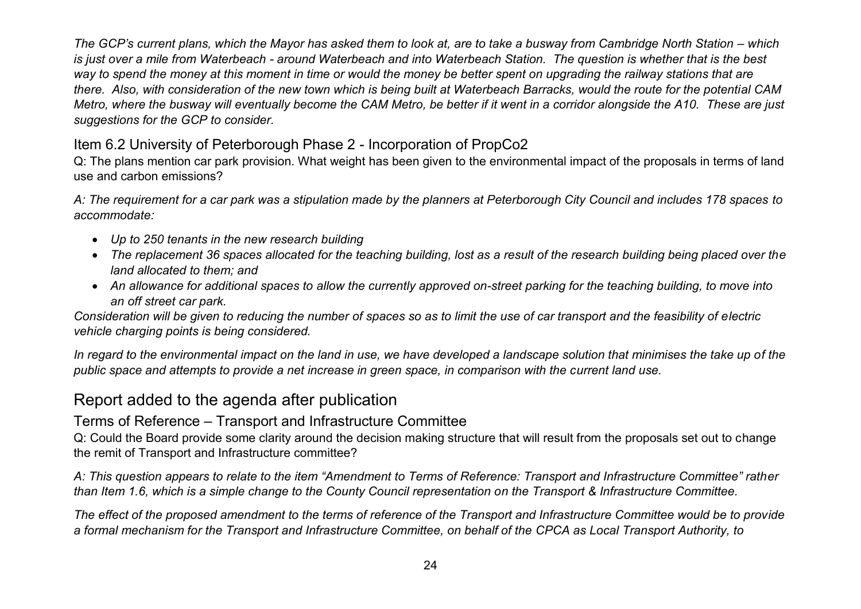*The GCP's current plans, which the Mayor has asked them to look at, are to take a busway from Cambridge North Station – which is just over a mile from Waterbeach - around Waterbeach and into Waterbeach Station. The question is whether that is the best way to spend the money at this moment in time or would the money be better spent on upgrading the railway stations that are there. Also, with consideration of the new town which is being built at Waterbeach Barracks, would the route for the potential CAM Metro, where the busway will eventually become the CAM Metro, be better if it went in a corridor alongside the A10. These are just suggestions for the GCP to consider.* 

# Item 6.2 University of Peterborough Phase 2 - Incorporation of PropCo2

Q: The plans mention car park provision. What weight has been given to the environmental impact of the proposals in terms of land use and carbon emissions?

*A: The requirement for a car park was a stipulation made by the planners at Peterborough City Council and includes 178 spaces to accommodate:* 

- *Up to 250 tenants in the new research building*
- *The replacement 36 spaces allocated for the teaching building, lost as a result of the research building being placed over the land allocated to them; and*
- *An allowance for additional spaces to allow the currently approved on-street parking for the teaching building, to move into an off street car park.*

*Consideration will be given to reducing the number of spaces so as to limit the use of car transport and the feasibility of electric vehicle charging points is being considered.* 

In regard to the environmental impact on the land in use, we have developed a landscape solution that minimises the take up of the *public space and attempts to provide a net increase in green space, in comparison with the current land use.* 

# Report added to the agenda after publication

# Terms of Reference – Transport and Infrastructure Committee

Q: Could the Board provide some clarity around the decision making structure that will result from the proposals set out to change the remit of Transport and Infrastructure committee?

*A: This question appears to relate to the item "Amendment to Terms of Reference: Transport and Infrastructure Committee" rather than Item 1.6, which is a simple change to the County Council representation on the Transport & Infrastructure Committee.* 

*The effect of the proposed amendment to the terms of reference of the Transport and Infrastructure Committee would be to provide a formal mechanism for the Transport and Infrastructure Committee, on behalf of the CPCA as Local Transport Authority, to*